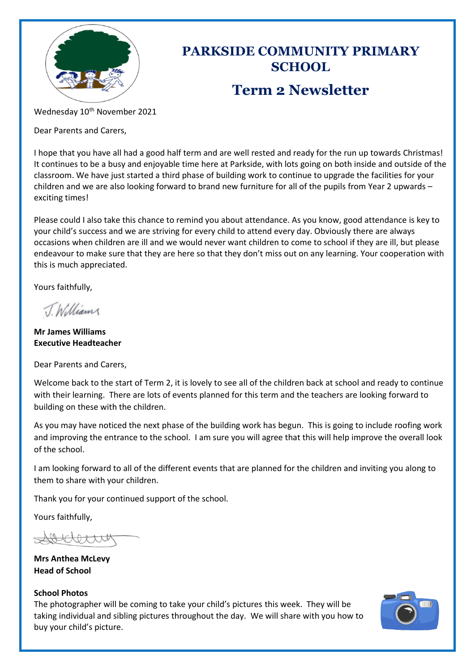

# **PARKSIDE COMMUNITY PRIMARY SCHOOL Term 2 Newsletter**

Wednesday 10<sup>th</sup> November 2021

Dear Parents and Carers,

I hope that you have all had a good half term and are well rested and ready for the run up towards Christmas! It continues to be a busy and enjoyable time here at Parkside, with lots going on both inside and outside of the classroom. We have just started a third phase of building work to continue to upgrade the facilities for your children and we are also looking forward to brand new furniture for all of the pupils from Year 2 upwards – exciting times!

Please could I also take this chance to remind you about attendance. As you know, good attendance is key to your child's success and we are striving for every child to attend every day. Obviously there are always occasions when children are ill and we would never want children to come to school if they are ill, but please endeavour to make sure that they are here so that they don't miss out on any learning. Your cooperation with this is much appreciated.

Yours faithfully,

TWilliam

**Mr James Williams Executive Headteacher**

Dear Parents and Carers,

Welcome back to the start of Term 2, it is lovely to see all of the children back at school and ready to continue with their learning. There are lots of events planned for this term and the teachers are looking forward to building on these with the children.

As you may have noticed the next phase of the building work has begun. This is going to include roofing work and improving the entrance to the school. I am sure you will agree that this will help improve the overall look of the school.

I am looking forward to all of the different events that are planned for the children and inviting you along to them to share with your children.

Thank you for your continued support of the school.

Yours faithfully,

 $0$  a  $x$   $x$   $y$ 

**Mrs Anthea McLevy Head of School**

### **School Photos**

The photographer will be coming to take your child's pictures this week. They will be taking individual and sibling pictures throughout the day. We will share with you how to buy your child's picture.